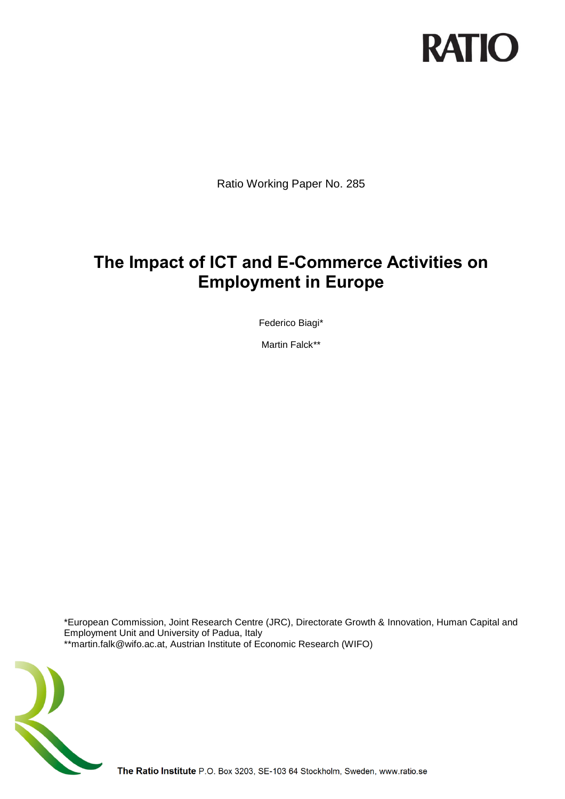

Ratio Working Paper No. 285

# **The Impact of ICT and E-Commerce Activities on Employment in Europe**

Federico Biagi\*

Martin Falck\*\*

\*European Commission, Joint Research Centre (JRC), Directorate Growth & Innovation, Human Capital and Employment Unit and University of Padua, Italy \*\*martin.falk@wifo.ac.at, Austrian Institute of Economic Research (WIFO)



The Ratio Institute P.O. Box 3203, SE-103 64 Stockholm, Sweden, www.ratio.se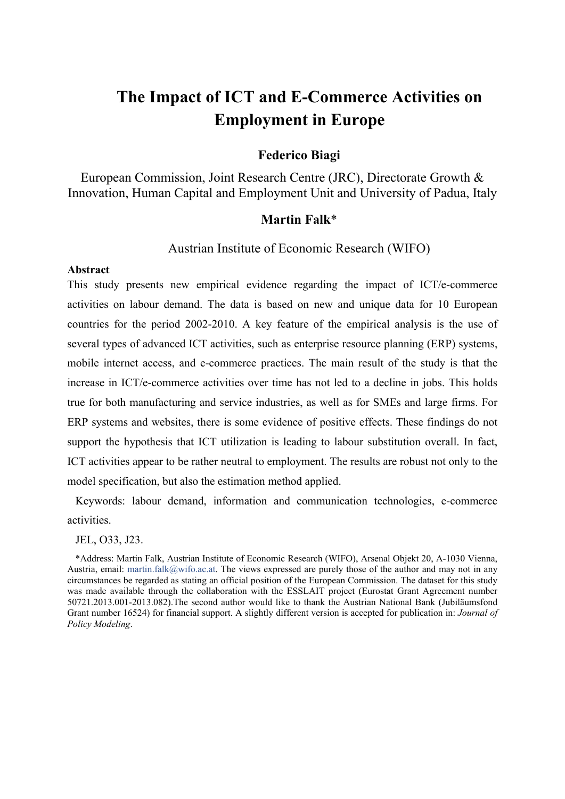# **The Impact of ICT and E-Commerce Activities on Employment in Europe**

# **Federico Biagi**

European Commission, Joint Research Centre (JRC), Directorate Growth & Innovation, Human Capital and Employment Unit and University of Padua, Italy

# **Martin Falk**\*

# Austrian Institute of Economic Research (WIFO)

### **Abstract**

This study presents new empirical evidence regarding the impact of ICT/e-commerce activities on labour demand. The data is based on new and unique data for 10 European countries for the period 2002-2010. A key feature of the empirical analysis is the use of several types of advanced ICT activities, such as enterprise resource planning (ERP) systems, mobile internet access, and e-commerce practices. The main result of the study is that the increase in ICT/e-commerce activities over time has not led to a decline in jobs. This holds true for both manufacturing and service industries, as well as for SMEs and large firms. For ERP systems and websites, there is some evidence of positive effects. These findings do not support the hypothesis that ICT utilization is leading to labour substitution overall. In fact, ICT activities appear to be rather neutral to employment. The results are robust not only to the model specification, but also the estimation method applied.

Keywords: labour demand, information and communication technologies, e-commerce activities.

JEL, O33, J23.

\*Address: Martin Falk, Austrian Institute of Economic Research (WIFO), Arsenal Objekt 20, A-1030 Vienna, Austria, email: martin.falk@wifo.ac.at. The views expressed are purely those of the author and may not in any circumstances be regarded as stating an official position of the European Commission. The dataset for this study was made available through the collaboration with the ESSLAIT project (Eurostat Grant Agreement number 50721.2013.001-2013.082).The second author would like to thank the Austrian National Bank (Jubiläumsfond Grant number 16524) for financial support. A slightly different version is accepted for publication in: *Journal of Policy Modeling*.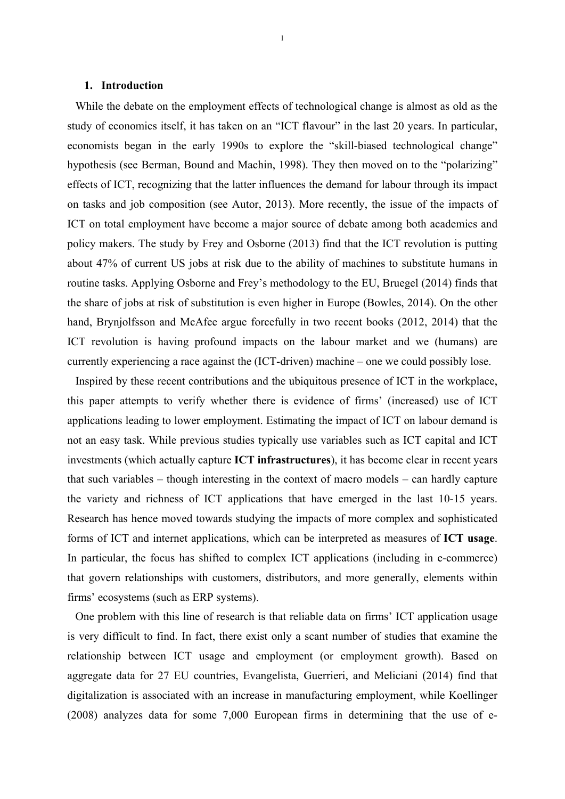## **1. Introduction**

While the debate on the employment effects of technological change is almost as old as the study of economics itself, it has taken on an "ICT flavour" in the last 20 years. In particular, economists began in the early 1990s to explore the "skill-biased technological change" hypothesis (see Berman, Bound and Machin, 1998). They then moved on to the "polarizing" effects of ICT, recognizing that the latter influences the demand for labour through its impact on tasks and job composition (see Autor, 2013). More recently, the issue of the impacts of ICT on total employment have become a major source of debate among both academics and policy makers. The study by Frey and Osborne (2013) find that the ICT revolution is putting about 47% of current US jobs at risk due to the ability of machines to substitute humans in routine tasks. Applying Osborne and Frey's methodology to the EU, Bruegel (2014) finds that the share of jobs at risk of substitution is even higher in Europe (Bowles, 2014). On the other hand, Brynjolfsson and McAfee argue forcefully in two recent books (2012, 2014) that the ICT revolution is having profound impacts on the labour market and we (humans) are currently experiencing a race against the (ICT-driven) machine – one we could possibly lose.

1

Inspired by these recent contributions and the ubiquitous presence of ICT in the workplace, this paper attempts to verify whether there is evidence of firms' (increased) use of ICT applications leading to lower employment. Estimating the impact of ICT on labour demand is not an easy task. While previous studies typically use variables such as ICT capital and ICT investments (which actually capture **ICT infrastructures**), it has become clear in recent years that such variables – though interesting in the context of macro models – can hardly capture the variety and richness of ICT applications that have emerged in the last 10-15 years. Research has hence moved towards studying the impacts of more complex and sophisticated forms of ICT and internet applications, which can be interpreted as measures of **ICT usage**. In particular, the focus has shifted to complex ICT applications (including in e-commerce) that govern relationships with customers, distributors, and more generally, elements within firms' ecosystems (such as ERP systems).

One problem with this line of research is that reliable data on firms' ICT application usage is very difficult to find. In fact, there exist only a scant number of studies that examine the relationship between ICT usage and employment (or employment growth). Based on aggregate data for 27 EU countries, Evangelista, Guerrieri, and Meliciani (2014) find that digitalization is associated with an increase in manufacturing employment, while Koellinger (2008) analyzes data for some 7,000 European firms in determining that the use of e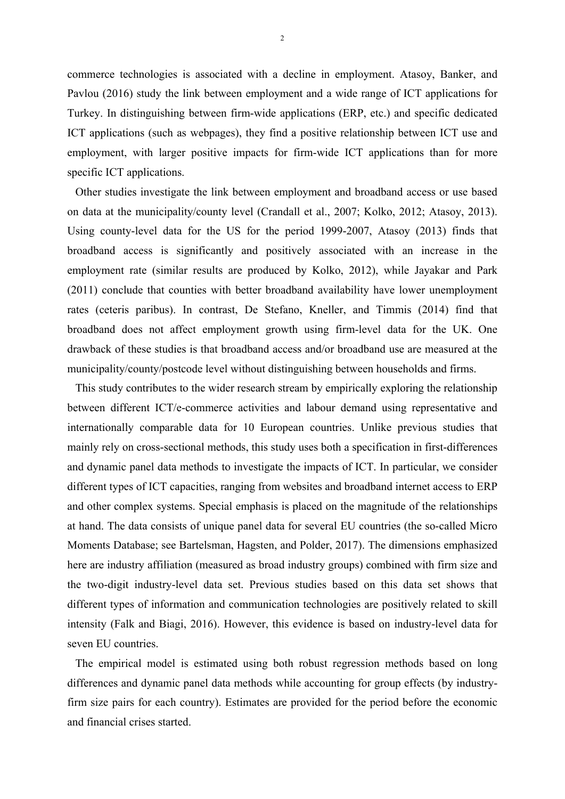commerce technologies is associated with a decline in employment. Atasoy, Banker, and Pavlou (2016) study the link between employment and a wide range of ICT applications for Turkey. In distinguishing between firm-wide applications (ERP, etc.) and specific dedicated ICT applications (such as webpages), they find a positive relationship between ICT use and employment, with larger positive impacts for firm-wide ICT applications than for more specific ICT applications.

Other studies investigate the link between employment and broadband access or use based on data at the municipality/county level (Crandall et al., 2007; Kolko, 2012; Atasoy, 2013). Using county-level data for the US for the period 1999-2007, Atasoy (2013) finds that broadband access is significantly and positively associated with an increase in the employment rate (similar results are produced by Kolko, 2012), while Jayakar and Park (2011) conclude that counties with better broadband availability have lower unemployment rates (ceteris paribus). In contrast, De Stefano, Kneller, and Timmis (2014) find that broadband does not affect employment growth using firm-level data for the UK. One drawback of these studies is that broadband access and/or broadband use are measured at the municipality/county/postcode level without distinguishing between households and firms.

This study contributes to the wider research stream by empirically exploring the relationship between different ICT/e-commerce activities and labour demand using representative and internationally comparable data for 10 European countries. Unlike previous studies that mainly rely on cross-sectional methods, this study uses both a specification in first-differences and dynamic panel data methods to investigate the impacts of ICT. In particular, we consider different types of ICT capacities, ranging from websites and broadband internet access to ERP and other complex systems. Special emphasis is placed on the magnitude of the relationships at hand. The data consists of unique panel data for several EU countries (the so-called Micro Moments Database; see Bartelsman, Hagsten, and Polder, 2017). The dimensions emphasized here are industry affiliation (measured as broad industry groups) combined with firm size and the two-digit industry-level data set. Previous studies based on this data set shows that different types of information and communication technologies are positively related to skill intensity (Falk and Biagi, 2016). However, this evidence is based on industry-level data for seven EU countries.

The empirical model is estimated using both robust regression methods based on long differences and dynamic panel data methods while accounting for group effects (by industryfirm size pairs for each country). Estimates are provided for the period before the economic and financial crises started.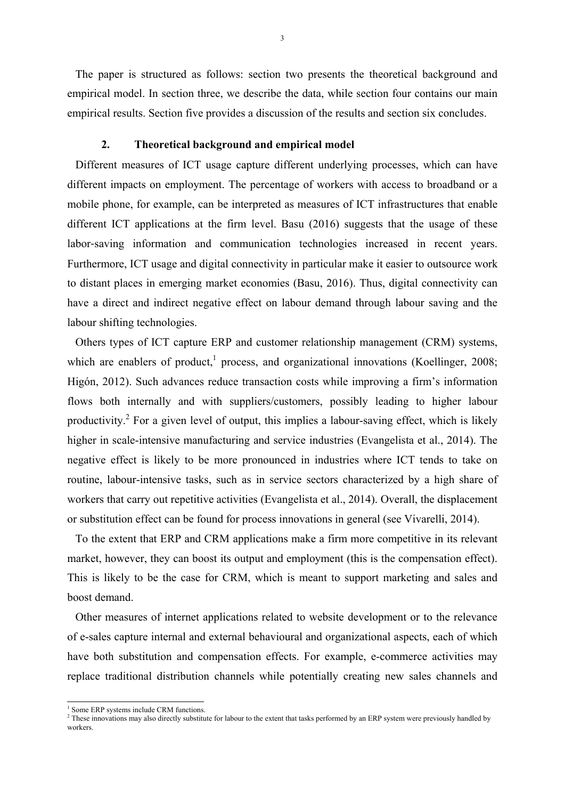The paper is structured as follows: section two presents the theoretical background and empirical model. In section three, we describe the data, while section four contains our main empirical results. Section five provides a discussion of the results and section six concludes.

### **2. Theoretical background and empirical model**

Different measures of ICT usage capture different underlying processes, which can have different impacts on employment. The percentage of workers with access to broadband or a mobile phone, for example, can be interpreted as measures of ICT infrastructures that enable different ICT applications at the firm level. Basu (2016) suggests that the usage of these labor-saving information and communication technologies increased in recent years. Furthermore, ICT usage and digital connectivity in particular make it easier to outsource work to distant places in emerging market economies (Basu, 2016). Thus, digital connectivity can have a direct and indirect negative effect on labour demand through labour saving and the labour shifting technologies.

Others types of ICT capture ERP and customer relationship management (CRM) systems, which are enablers of product,<sup>1</sup> process, and organizational innovations (Koellinger, 2008; Higón, 2012). Such advances reduce transaction costs while improving a firm's information flows both internally and with suppliers/customers, possibly leading to higher labour productivity.<sup>2</sup> For a given level of output, this implies a labour-saving effect, which is likely higher in scale-intensive manufacturing and service industries (Evangelista et al., 2014). The negative effect is likely to be more pronounced in industries where ICT tends to take on routine, labour-intensive tasks, such as in service sectors characterized by a high share of workers that carry out repetitive activities (Evangelista et al., 2014). Overall, the displacement or substitution effect can be found for process innovations in general (see Vivarelli, 2014).

To the extent that ERP and CRM applications make a firm more competitive in its relevant market, however, they can boost its output and employment (this is the compensation effect). This is likely to be the case for CRM, which is meant to support marketing and sales and boost demand.

Other measures of internet applications related to website development or to the relevance of e-sales capture internal and external behavioural and organizational aspects, each of which have both substitution and compensation effects. For example, e-commerce activities may replace traditional distribution channels while potentially creating new sales channels and

-

<sup>&</sup>lt;sup>1</sup> Some ERP systems include CRM functions.

 $<sup>2</sup>$  These innovations may also directly substitute for labour to the extent that tasks performed by an ERP system were previously handled by</sup> workers.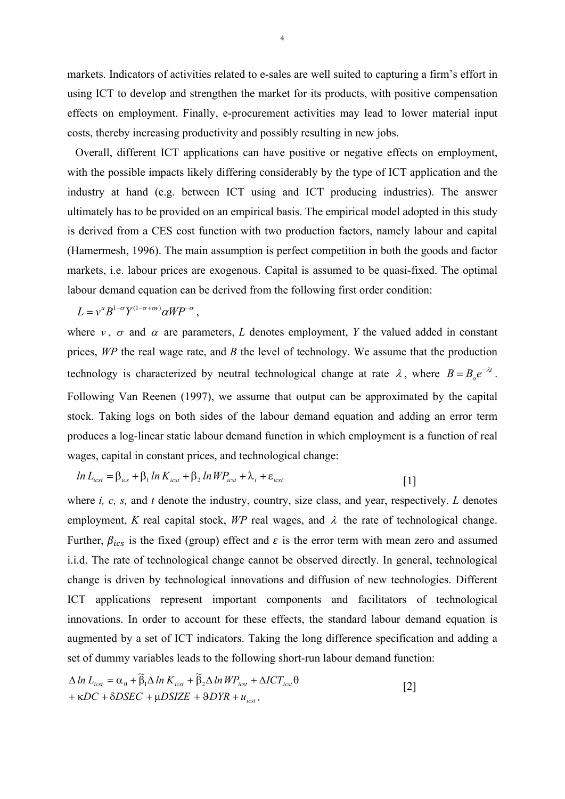markets. Indicators of activities related to e-sales are well suited to capturing a firm's effort in using ICT to develop and strengthen the market for its products, with positive compensation effects on employment. Finally, e-procurement activities may lead to lower material input costs, thereby increasing productivity and possibly resulting in new jobs.

Overall, different ICT applications can have positive or negative effects on employment, with the possible impacts likely differing considerably by the type of ICT application and the industry at hand (e.g. between ICT using and ICT producing industries). The answer ultimately has to be provided on an empirical basis. The empirical model adopted in this study is derived from a CES cost function with two production factors, namely labour and capital (Hamermesh, 1996). The main assumption is perfect competition in both the goods and factor markets, i.e. labour prices are exogenous. Capital is assumed to be quasi-fixed. The optimal labour demand equation can be derived from the following first order condition:

$$
L = v^a B^{1-\sigma} Y^{(1-\sigma+\sigma v)} \alpha W P^{-\sigma},
$$

where  $v, \sigma$  and  $\alpha$  are parameters, *L* denotes employment, *Y* the valued added in constant prices, *WP* the real wage rate, and *B* the level of technology. We assume that the production technology is characterized by neutral technological change at rate  $\lambda$ , where  $B = B_0 e^{-\lambda t}$ . Following Van Reenen (1997), we assume that output can be approximated by the capital stock. Taking logs on both sides of the labour demand equation and adding an error term produces a log-linear static labour demand function in which employment is a function of real wages, capital in constant prices, and technological change:

$$
ln L_{icst} = \beta_{icst} + \beta_1 ln K_{icst} + \beta_2 ln W P_{icst} + \lambda_t + \varepsilon_{icst}
$$
 [1]

where *i, c, s,* and *t* denote the industry, country, size class, and year, respectively. *L* denotes employment, *K* real capital stock, *WP* real wages, and  $\lambda$  the rate of technological change. Further,  $\beta_{ics}$  is the fixed (group) effect and  $\varepsilon$  is the error term with mean zero and assumed i.i.d. The rate of technological change cannot be observed directly. In general, technological change is driven by technological innovations and diffusion of new technologies. Different ICT applications represent important components and facilitators of technological innovations. In order to account for these effects, the standard labour demand equation is augmented by a set of ICT indicators. Taking the long difference specification and adding a set of dummy variables leads to the following short-run labour demand function:

$$
\Delta \ln L_{icst} = \alpha_0 + \widetilde{\beta}_1 \Delta \ln K_{icst} + \widetilde{\beta}_2 \Delta \ln W P_{icst} + \Delta I C T_{icst} \theta
$$
  
+  $\kappa DC + \delta DSEC + \mu DSIZE + \theta D Y R + u_{icst}$ , (2)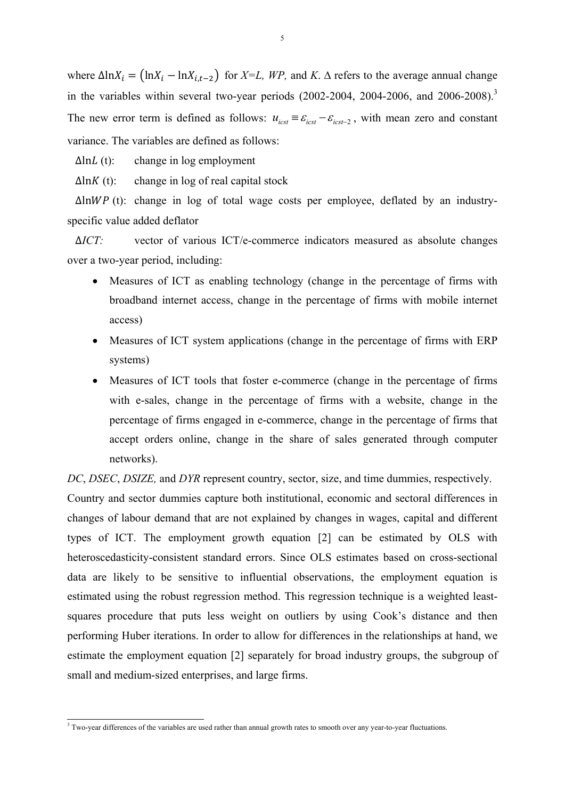where  $\Delta \ln X_i = (\ln X_i - \ln X_{i,t-2})$  for *X=L, WP*, and *K*.  $\Delta$  refers to the average annual change in the variables within several two-year periods  $(2002-2004, 2004-2006,$  and  $2006-2008)$ .<sup>3</sup> The new error term is defined as follows:  $u_{\text{icst}} = \varepsilon_{\text{icst}} - \varepsilon_{\text{icst}-2}$ , with mean zero and constant variance. The variables are defined as follows:

 $\Delta$ ln $L$  (t): change in log employment

 $\Delta$ ln*K* (t): change in log of real capital stock

 $\Delta$ ln $WP$  (t): change in log of total wage costs per employee, deflated by an industryspecific value added deflator

∆*ICT:* vector of various ICT/e-commerce indicators measured as absolute changes over a two-year period, including:

- Measures of ICT as enabling technology (change in the percentage of firms with broadband internet access, change in the percentage of firms with mobile internet access)
- Measures of ICT system applications (change in the percentage of firms with ERP systems)
- Measures of ICT tools that foster e-commerce (change in the percentage of firms with e-sales, change in the percentage of firms with a website, change in the percentage of firms engaged in e-commerce, change in the percentage of firms that accept orders online, change in the share of sales generated through computer networks).

*DC*, *DSEC*, *DSIZE,* and *DYR* represent country, sector, size, and time dummies, respectively.

Country and sector dummies capture both institutional, economic and sectoral differences in changes of labour demand that are not explained by changes in wages, capital and different types of ICT. The employment growth equation [2] can be estimated by OLS with heteroscedasticity-consistent standard errors. Since OLS estimates based on cross-sectional data are likely to be sensitive to influential observations, the employment equation is estimated using the robust regression method. This regression technique is a weighted leastsquares procedure that puts less weight on outliers by using Cook's distance and then performing Huber iterations. In order to allow for differences in the relationships at hand, we estimate the employment equation [2] separately for broad industry groups, the subgroup of small and medium-sized enterprises, and large firms.

 3 Two-year differences of the variables are used rather than annual growth rates to smooth over any year-to-year fluctuations.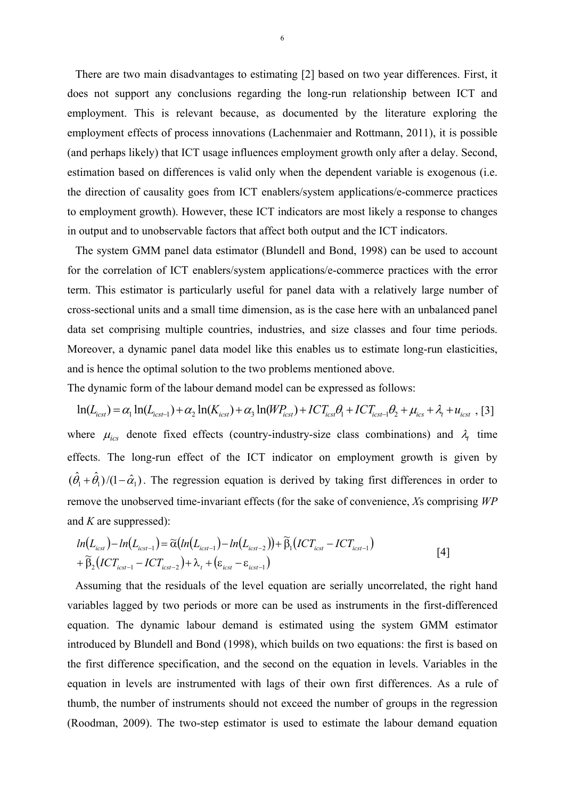There are two main disadvantages to estimating [2] based on two year differences. First, it does not support any conclusions regarding the long-run relationship between ICT and employment. This is relevant because, as documented by the literature exploring the employment effects of process innovations (Lachenmaier and Rottmann, 2011), it is possible (and perhaps likely) that ICT usage influences employment growth only after a delay. Second, estimation based on differences is valid only when the dependent variable is exogenous (i.e. the direction of causality goes from ICT enablers/system applications/e-commerce practices to employment growth). However, these ICT indicators are most likely a response to changes in output and to unobservable factors that affect both output and the ICT indicators.

The system GMM panel data estimator (Blundell and Bond, 1998) can be used to account for the correlation of ICT enablers/system applications/e-commerce practices with the error term. This estimator is particularly useful for panel data with a relatively large number of cross-sectional units and a small time dimension, as is the case here with an unbalanced panel data set comprising multiple countries, industries, and size classes and four time periods. Moreover, a dynamic panel data model like this enables us to estimate long-run elasticities, and is hence the optimal solution to the two problems mentioned above.

The dynamic form of the labour demand model can be expressed as follows:

 $\ln(L_{icst}) = \alpha_1 \ln(L_{icst-1}) + \alpha_2 \ln(K_{icst}) + \alpha_3 \ln(W_{icst}) + IC_{icst} + \beta_1 + IC_{icst-1} + \beta_2 + \mu_{icst} + \lambda_t + u_{icst}$ , [3] where  $\mu_{ics}$  denote fixed effects (country-industry-size class combinations) and  $\lambda_t$  time effects. The long-run effect of the ICT indicator on employment growth is given by  $(\hat{\theta}_1 + \hat{\theta}_1)/(1 - \hat{\alpha}_1)$ . The regression equation is derived by taking first differences in order to remove the unobserved time-invariant effects (for the sake of convenience, *X*s comprising *WP* and *K* are suppressed):

$$
ln(L_{icst}) - ln(L_{icst-1}) = \widetilde{\alpha}(ln(L_{icst-1}) - ln(L_{icst-2})) + \widetilde{\beta}_1(ICT_{icst} - ICT_{icst-1})
$$
  
+  $\widetilde{\beta}_2(ICT_{icst-1} - ICT_{icst-2}) + \lambda_t + (\varepsilon_{icst} - \varepsilon_{icst-1})$  [4]

Assuming that the residuals of the level equation are serially uncorrelated, the right hand variables lagged by two periods or more can be used as instruments in the first-differenced equation. The dynamic labour demand is estimated using the system GMM estimator introduced by Blundell and Bond (1998), which builds on two equations: the first is based on the first difference specification, and the second on the equation in levels. Variables in the equation in levels are instrumented with lags of their own first differences. As a rule of thumb, the number of instruments should not exceed the number of groups in the regression (Roodman, 2009). The two-step estimator is used to estimate the labour demand equation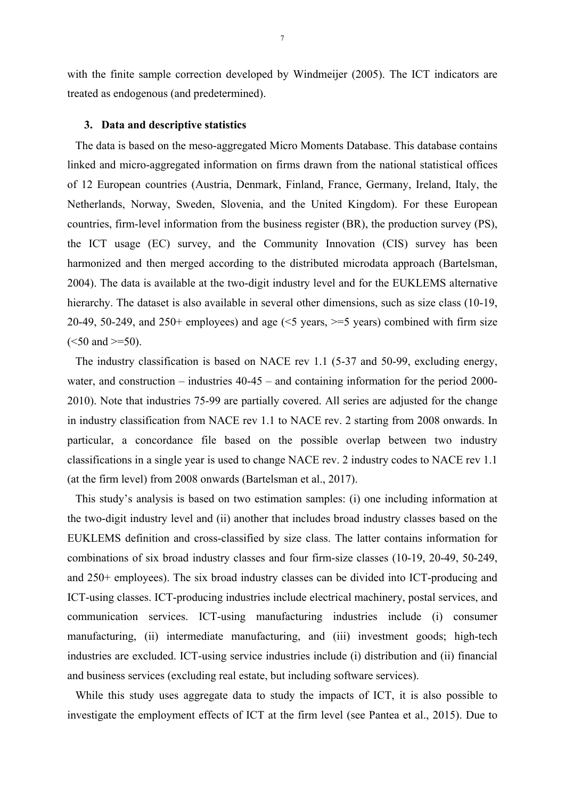with the finite sample correction developed by Windmeijer (2005). The ICT indicators are treated as endogenous (and predetermined).

### **3. Data and descriptive statistics**

The data is based on the meso-aggregated Micro Moments Database. This database contains linked and micro-aggregated information on firms drawn from the national statistical offices of 12 European countries (Austria, Denmark, Finland, France, Germany, Ireland, Italy, the Netherlands, Norway, Sweden, Slovenia, and the United Kingdom). For these European countries, firm-level information from the business register (BR), the production survey (PS), the ICT usage (EC) survey, and the Community Innovation (CIS) survey has been harmonized and then merged according to the distributed microdata approach (Bartelsman, 2004). The data is available at the two-digit industry level and for the EUKLEMS alternative hierarchy. The dataset is also available in several other dimensions, such as size class (10-19, 20-49, 50-249, and 250+ employees) and age  $(5 \text{ years}, \geq 5 \text{ years})$  combined with firm size  $(<50$  and  $>=50$ ).

The industry classification is based on NACE rev 1.1 (5-37 and 50-99, excluding energy, water, and construction – industries  $40-45$  – and containing information for the period 2000-2010). Note that industries 75-99 are partially covered. All series are adjusted for the change in industry classification from NACE rev 1.1 to NACE rev. 2 starting from 2008 onwards. In particular, a concordance file based on the possible overlap between two industry classifications in a single year is used to change NACE rev. 2 industry codes to NACE rev 1.1 (at the firm level) from 2008 onwards (Bartelsman et al., 2017).

This study's analysis is based on two estimation samples: (i) one including information at the two-digit industry level and (ii) another that includes broad industry classes based on the EUKLEMS definition and cross-classified by size class. The latter contains information for combinations of six broad industry classes and four firm-size classes (10-19, 20-49, 50-249, and 250+ employees). The six broad industry classes can be divided into ICT-producing and ICT-using classes. ICT-producing industries include electrical machinery, postal services, and communication services. ICT-using manufacturing industries include (i) consumer manufacturing, (ii) intermediate manufacturing, and (iii) investment goods; high-tech industries are excluded. ICT-using service industries include (i) distribution and (ii) financial and business services (excluding real estate, but including software services).

While this study uses aggregate data to study the impacts of ICT, it is also possible to investigate the employment effects of ICT at the firm level (see Pantea et al., 2015). Due to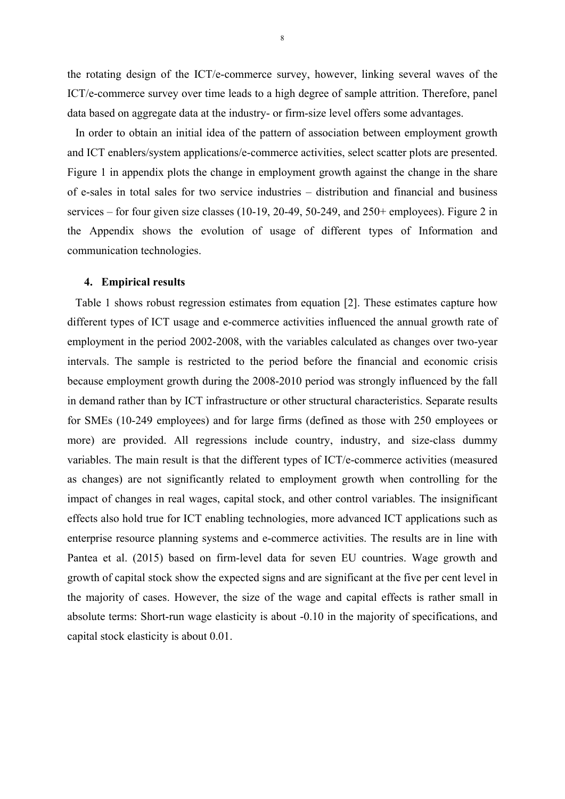the rotating design of the ICT/e-commerce survey, however, linking several waves of the ICT/e-commerce survey over time leads to a high degree of sample attrition. Therefore, panel data based on aggregate data at the industry- or firm-size level offers some advantages.

In order to obtain an initial idea of the pattern of association between employment growth and ICT enablers/system applications/e-commerce activities, select scatter plots are presented. Figure 1 in appendix plots the change in employment growth against the change in the share of e-sales in total sales for two service industries – distribution and financial and business services – for four given size classes (10-19, 20-49, 50-249, and 250+ employees). Figure 2 in the Appendix shows the evolution of usage of different types of Information and communication technologies.

#### **4. Empirical results**

Table 1 shows robust regression estimates from equation [2]. These estimates capture how different types of ICT usage and e-commerce activities influenced the annual growth rate of employment in the period 2002-2008, with the variables calculated as changes over two-year intervals. The sample is restricted to the period before the financial and economic crisis because employment growth during the 2008-2010 period was strongly influenced by the fall in demand rather than by ICT infrastructure or other structural characteristics. Separate results for SMEs (10-249 employees) and for large firms (defined as those with 250 employees or more) are provided. All regressions include country, industry, and size-class dummy variables. The main result is that the different types of ICT/e-commerce activities (measured as changes) are not significantly related to employment growth when controlling for the impact of changes in real wages, capital stock, and other control variables. The insignificant effects also hold true for ICT enabling technologies, more advanced ICT applications such as enterprise resource planning systems and e-commerce activities. The results are in line with Pantea et al. (2015) based on firm-level data for seven EU countries. Wage growth and growth of capital stock show the expected signs and are significant at the five per cent level in the majority of cases. However, the size of the wage and capital effects is rather small in absolute terms: Short-run wage elasticity is about -0.10 in the majority of specifications, and capital stock elasticity is about 0.01.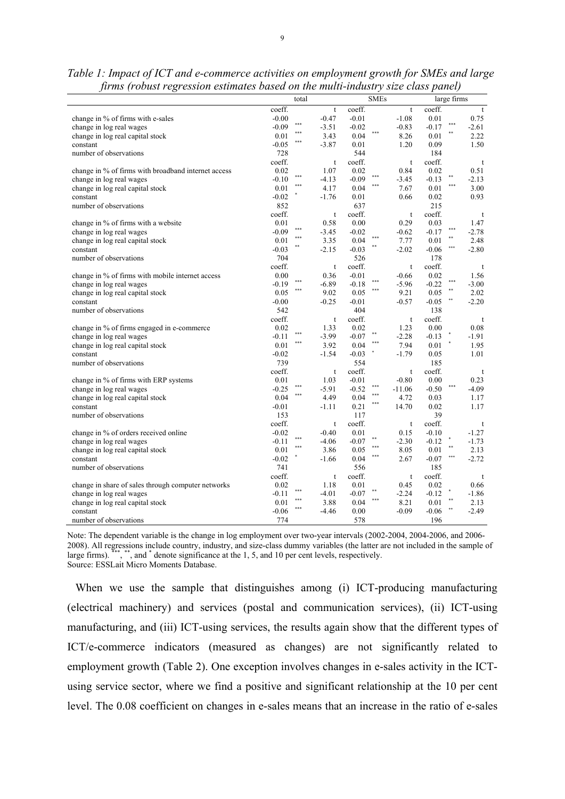| $J^{\mu\nu\mu\nu}$ ( <i>r</i> obtains <i>r</i> $\mathcal{S}^{\mu}$<br>ession csimilates suscu on the mathematically size class panel) | total            |              | <b>SMEs</b>      |             | large firms        |         |
|---------------------------------------------------------------------------------------------------------------------------------------|------------------|--------------|------------------|-------------|--------------------|---------|
|                                                                                                                                       | coeff.           | $\mathbf{t}$ | coeff.           | t           | coeff.             | t       |
| change in % of firms with e-sales                                                                                                     | $-0.00$          | $-0.47$      | $-0.01$          | $-1.08$     | 0.01               | 0.75    |
| change in log real wages                                                                                                              | $***$<br>$-0.09$ | $-3.51$      | $-0.02$          | $-0.83$     | ***<br>$-0.17$     | $-2.61$ |
| change in log real capital stock                                                                                                      | $***$<br>0.01    | 3.43         | ***<br>0.04      | 8.26        | $\ast\ast$<br>0.01 | 2.22    |
| constant                                                                                                                              | ***<br>$-0.05$   | $-3.87$      | 0.01             | 1.20        | 0.09               | 1.50    |
| number of observations                                                                                                                | 728              |              | 544              |             | 184                |         |
|                                                                                                                                       | coeff.           | t            | coeff.           | t           | coeff.             | t       |
| change in % of firms with broadband internet access                                                                                   | 0.02             | 1.07         | 0.02             | 0.84        | 0.02               | 0.51    |
| change in log real wages                                                                                                              | ***<br>$-0.10$   | $-4.13$      | ***<br>$-0.09$   | $-3.45$     | $-0.13$            | $-2.13$ |
| change in log real capital stock                                                                                                      | ***<br>0.01      | 4.17         | ***<br>0.04      | 7.67        | ***<br>0.01        | 3.00    |
| constant                                                                                                                              | $-0.02$          | $-1.76$      | 0.01             | 0.66        | $0.02\,$           | 0.93    |
| number of observations                                                                                                                | 852              |              | 637              |             | 215                |         |
|                                                                                                                                       | coeff.           | t            | coeff.           | t           | coeff.             | t       |
| change in % of firms with a website                                                                                                   | 0.01             | 0.58         | 0.00             | 0.29        | 0.03               | 1.47    |
| change in log real wages                                                                                                              | ***<br>$-0.09$   | $-3.45$      | $-0.02$          | $-0.62$     | ***<br>$-0.17$     | $-2.78$ |
| change in log real capital stock                                                                                                      | 0.01             | 3.35         | 0.04             | 7.77        | 0.01               | 2.48    |
| constant                                                                                                                              | $-0.03$          | $-2.15$      | **<br>$-0.03$    | $-2.02$     | $-0.06$            | $-2.80$ |
| number of observations                                                                                                                | 704              |              | 526              |             | 178                |         |
|                                                                                                                                       | coeff.           | $\mathbf t$  | coeff.           | $\mathbf t$ | coeff.             | t       |
| change in % of firms with mobile internet access                                                                                      | 0.00             | 0.36         | $-0.01$          | $-0.66$     | 0.02               | 1.56    |
| change in log real wages                                                                                                              | $***$<br>$-0.19$ | $-6.89$      | $-0.18$          | $-5.96$     | ***<br>$-0.22$     | $-3.00$ |
| change in log real capital stock                                                                                                      | ***<br>0.05      | 9.02         | 0.05             | 9.21        | $\ast\ast$<br>0.05 | 2.02    |
| constant                                                                                                                              | $-0.00$          | $-0.25$      | $-0.01$          | $-0.57$     | $-0.05$            | $-2.20$ |
| number of observations                                                                                                                | 542              |              | 404              |             | 138                |         |
|                                                                                                                                       | coeff.           | t            | coeff.           | $\mathsf t$ | coeff.             | t       |
| change in % of firms engaged in e-commerce                                                                                            | 0.02             | 1.33         | 0.02             | 1.23        | 0.00               | 0.08    |
| change in log real wages                                                                                                              | ***<br>$-0.11$   | $-3.99$      | $-0.07$          | $-2.28$     | $-0.13$            | $-1.91$ |
| change in log real capital stock                                                                                                      | ***<br>0.01      | 3.92         | 0.04             | 7.94        | 0.01               | 1.95    |
| constant                                                                                                                              | $-0.02$          | $-1.54$      | $-0.03$          | $-1.79$     | 0.05               | 1.01    |
| number of observations                                                                                                                | 739              |              | 554              |             | 185                |         |
|                                                                                                                                       | coeff.           | $\mathbf t$  | coeff.           | $\mathbf t$ | coeff.             | t       |
| change in % of firms with ERP systems                                                                                                 | 0.01             | 1.03         | $-0.01$          | $-0.80$     | 0.00               | 0.23    |
| change in log real wages                                                                                                              | ***<br>$-0.25$   | $-5.91$      | $***$<br>$-0.52$ | $-11.06$    | $-0.50$            | $-4.09$ |
| change in log real capital stock                                                                                                      | ***<br>0.04      | 4.49         | ***<br>0.04      | 4.72        | 0.03               | 1.17    |
| constant                                                                                                                              | $-0.01$          | -1.11        | ***<br>0.21      | 14.70       | 0.02               | 1.17    |
| number of observations                                                                                                                | 153              |              | 117              |             | 39                 |         |
|                                                                                                                                       | coeff.           | t            | coeff.           | t           | coeff.             | t       |
| change in % of orders received online                                                                                                 | $-0.02$          | $-0.40$      | 0.01             | 0.15        | $-0.10$            | $-1.27$ |
| change in log real wages                                                                                                              | ***<br>$-0.11$   | $-4.06$      | **<br>$-0.07$    | $-2.30$     | $-0.12$            | $-1.73$ |
| change in log real capital stock                                                                                                      | ***<br>0.01      | 3.86         | ***<br>0.05      | 8.05        | 0.01               | 2.13    |
| constant                                                                                                                              | $-0.02$          | $-1.66$      | $***$<br>0.04    | 2.67        | ***<br>$-0.07$     | $-2.72$ |
| number of observations                                                                                                                | 741              |              | 556              |             | 185                |         |
|                                                                                                                                       | coeff.           | t            | coeff.           | t           | coeff.             | t       |
| change in share of sales through computer networks                                                                                    | 0.02             | 1.18         | 0.01             | 0.45        | 0.02               | 0.66    |
| change in log real wages                                                                                                              | ***<br>$-0.11$   | $-4.01$      | **<br>$-0.07$    | $-2.24$     | $-0.12$            | $-1.86$ |
| change in log real capital stock                                                                                                      | ***<br>0.01      | 3.88         | ***<br>0.04      | 8.21        | **<br>0.01         | 2.13    |
| constant                                                                                                                              | $-0.06$          | -4.46        | 0.00             | $-0.09$     | $-0.06$            | $-2.49$ |
| number of observations                                                                                                                | 774              |              | 578              |             | 196                |         |

| Table 1: Impact of ICT and e-commerce activities on employment growth for SMEs and large |  |
|------------------------------------------------------------------------------------------|--|
| firms (robust regression estimates based on the multi-industry size class panel)         |  |

Note: The dependent variable is the change in log employment over two-year intervals (2002-2004, 2004-2006, and 2006- 2008). All regressions include country, industry, and size-class dummy variables (the latter are not included in the sample of large firms). <sup>\*\*\*</sup>, \*\*, and <sup>\*</sup> denote significance at the 1, 5, and 10 per cent levels, respectively. Source: ESSLait Micro Moments Database.

When we use the sample that distinguishes among (i) ICT-producing manufacturing (electrical machinery) and services (postal and communication services), (ii) ICT-using manufacturing, and (iii) ICT-using services, the results again show that the different types of ICT/e-commerce indicators (measured as changes) are not significantly related to employment growth (Table 2). One exception involves changes in e-sales activity in the ICTusing service sector, where we find a positive and significant relationship at the 10 per cent level. The 0.08 coefficient on changes in e-sales means that an increase in the ratio of e-sales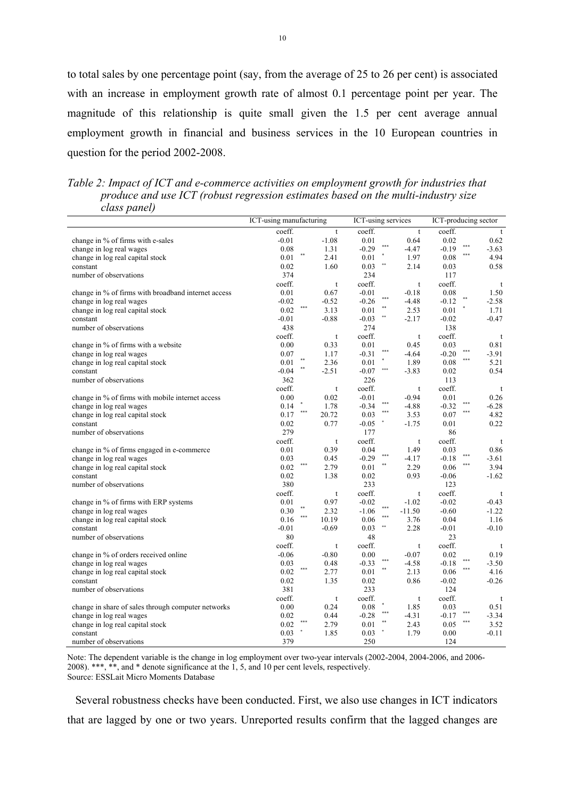to total sales by one percentage point (say, from the average of 25 to 26 per cent) is associated with an increase in employment growth rate of almost 0.1 percentage point per year. The magnitude of this relationship is quite small given the 1.5 per cent average annual employment growth in financial and business services in the 10 European countries in question for the period 2002-2008.

*Table 2: Impact of ICT and e-commerce activities on employment growth for industries that produce and use ICT (robust regression estimates based on the multi-industry size class panel)* 

|                                                     | ICT-using manufacturing |             | ICT-using services |                           | ICT-producing sector |     |         |
|-----------------------------------------------------|-------------------------|-------------|--------------------|---------------------------|----------------------|-----|---------|
|                                                     | coeff.                  | t           | coeff.             | $\mathbf{t}$              | coeff.               |     | t       |
| change in % of firms with e-sales                   | $-0.01$                 | $-1.08$     | 0.01               | 0.64                      | 0.02                 |     | 0.62    |
| change in log real wages                            | 0.08                    | 1.31        | ***<br>$-0.29$     | $-4.47$                   | $-0.19$              |     | $-3.63$ |
| change in log real capital stock                    | 0.01                    | 2.41        | 0.01               | 1.97                      | 0.08                 | *** | 4.94    |
| constant                                            | 0.02                    | 1.60        | **<br>0.03         | 2.14                      | 0.03                 |     | 0.58    |
| number of observations                              | 374                     |             | 234                |                           | 117                  |     |         |
|                                                     | coeff.                  | t           | coeff.             | t                         | coeff.               |     | t       |
| change in % of firms with broadband internet access | 0.01                    | 0.67        | $-0.01$            | $-0.18$                   | 0.08                 |     | 1.50    |
| change in log real wages                            | $-0.02$                 | $-0.52$     | ***<br>$-0.26$     | $-4.48$                   | $-0.12$              |     | $-2.58$ |
| change in log real capital stock                    | ***<br>0.02             | 3.13        | **<br>0.01         | 2.53                      | 0.01                 |     | 1.71    |
| constant                                            | $-0.01$                 | $-0.88$     | $-0.03$<br>**      | $-2.17$                   | $-0.02$              |     | $-0.47$ |
| number of observations                              | 438                     |             | 274                |                           | 138                  |     |         |
|                                                     | coeff.                  | t           | coeff.             | t                         | coeff.               |     | t       |
| change in % of firms with a website                 | 0.00                    | 0.33        | 0.01               | 0.45                      | 0.03                 |     | 0.81    |
| change in log real wages                            | 0.07                    | 1.17        | ***<br>$-0.31$     | $-4.64$                   | $-0.20$              | *** | $-3.91$ |
|                                                     |                         | 2.36        | 0.01               | 1.89                      | 0.08                 | *** | 5.21    |
| change in log real capital stock                    | 0.01<br>**<br>$-0.04$   | $-2.51$     | ***                |                           | 0.02                 |     | 0.54    |
| constant                                            |                         |             | $-0.07$            | $-3.83$                   |                      |     |         |
| number of observations                              | 362                     |             | 226                |                           | 113                  |     |         |
|                                                     | coeff.                  | t           | coeff.             | t                         | coeff.               |     | t       |
| change in % of firms with mobile internet access    | 0.00                    | 0.02        | $-0.01$<br>***     | $-0.94$                   | 0.01                 | *** | 0.26    |
| change in log real wages                            | 0.14<br>***             | 1.78        | $-0.34$<br>***     | $-4.88$                   | $-0.32$              | *** | $-6.28$ |
| change in log real capital stock                    | 0.17                    | 20.72       | 0.03               | 3.53                      | 0.07                 |     | 4.82    |
| constant                                            | 0.02                    | 0.77        | $-0.05$            | $-1.75$                   | 0.01                 |     | 0.22    |
| number of observations                              | 279                     |             | 177                |                           | 86                   |     |         |
|                                                     | coeff.                  | t           | coeff.             | $\ensuremath{\mathbf{t}}$ | coeff.               |     | t       |
| change in % of firms engaged in e-commerce          | 0.01                    | 0.39        | 0.04<br>***        | 1.49                      | 0.03                 | *** | 0.86    |
| change in log real wages                            | 0.03                    | 0.45        | $-0.29$            | $-4.17$                   | $-0.18$              | *** | $-3.61$ |
| change in log real capital stock                    | $***$<br>0.02           | 2.79        | **<br>0.01         | 2.29                      | 0.06                 |     | 3.94    |
| constant                                            | 0.02                    | 1.38        | 0.02               | 0.93                      | $-0.06$              |     | $-1.62$ |
| number of observations                              | 380                     |             | 233                |                           | 123                  |     |         |
|                                                     | coeff.                  | t           | coeff.             | t                         | coeff.               |     | t       |
| change in % of firms with ERP systems               | 0.01                    | 0.97        | $-0.02$            | $-1.02$                   | $-0.02$              |     | $-0.43$ |
| change in log real wages                            | **<br>0.30              | 2.32        | ***<br>$-1.06$     | $-11.50$                  | $-0.60$              |     | $-1.22$ |
| change in log real capital stock                    | ***<br>0.16             | 10.19       | ***<br>0.06        | 3.76                      | 0.04                 |     | 1.16    |
| constant                                            | $-0.01$                 | $-0.69$     | **<br>0.03         | 2.28                      | $-0.01$              |     | $-0.10$ |
| number of observations                              | 80                      |             | 48                 |                           | 23                   |     |         |
|                                                     | coeff.                  | t           | coeff.             | t                         | coeff.               |     | t       |
| change in % of orders received online               | $-0.06$                 | $-0.80$     | 0.00               | $-0.07$                   | 0.02                 |     | 0.19    |
| change in log real wages                            | 0.03                    | 0.48        | ***<br>$-0.33$     | $-4.58$                   | $-0.18$              |     | $-3.50$ |
| change in log real capital stock                    | ***<br>0.02             | 2.77        | $\ast\ast$<br>0.01 | 2.13                      | 0.06                 | *** | 4.16    |
| constant                                            | 0.02                    | 1.35        | 0.02               | 0.86                      | $-0.02$              |     | $-0.26$ |
| number of observations                              | 381                     |             | 233                |                           | 124                  |     |         |
|                                                     | coeff.                  | $\mathsf t$ | coeff.             | $\mathsf t$               | coeff.               |     | t       |
| change in share of sales through computer networks  | 0.00                    | 0.24        | 0.08               | 1.85                      | 0.03                 |     | 0.51    |
| change in log real wages                            | 0.02                    | 0.44        | ***<br>$-0.28$     | $-4.31$                   | $-0.17$              |     | $-3.34$ |
| change in log real capital stock                    | ***<br>0.02             | 2.79        | **<br>$0.01\,$     | 2.43                      | 0.05                 | *** | 3.52    |
| constant                                            | 0.03                    | 1.85        | 0.03               | 1.79                      | 0.00                 |     | $-0.11$ |
| number of observations                              | 379                     |             | 250                |                           | 124                  |     |         |
|                                                     |                         |             |                    |                           |                      |     |         |

Note: The dependent variable is the change in log employment over two-year intervals (2002-2004, 2004-2006, and 2006- 2008). \*\*\*, \*\*, and \* denote significance at the 1, 5, and 10 per cent levels, respectively. Source: ESSLait Micro Moments Database

Several robustness checks have been conducted. First, we also use changes in ICT indicators that are lagged by one or two years. Unreported results confirm that the lagged changes are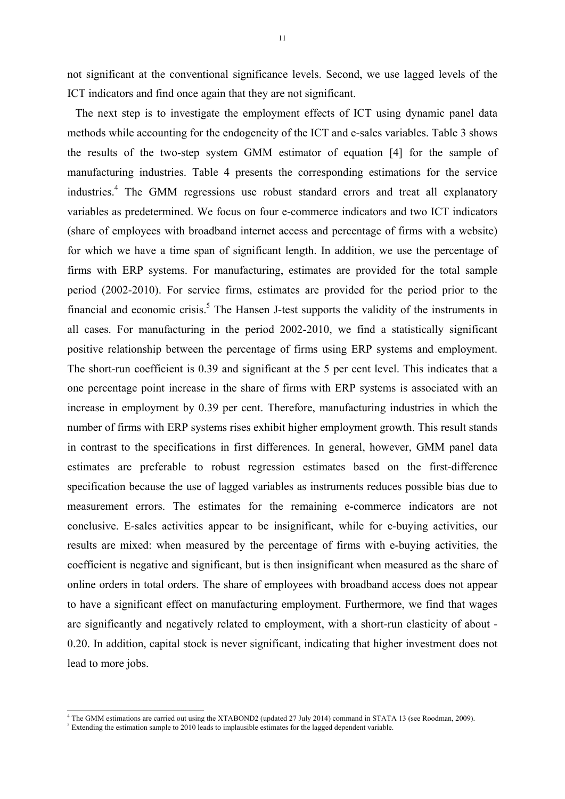not significant at the conventional significance levels. Second, we use lagged levels of the ICT indicators and find once again that they are not significant.

The next step is to investigate the employment effects of ICT using dynamic panel data methods while accounting for the endogeneity of the ICT and e-sales variables. Table 3 shows the results of the two-step system GMM estimator of equation [4] for the sample of manufacturing industries. Table 4 presents the corresponding estimations for the service industries.<sup>4</sup> The GMM regressions use robust standard errors and treat all explanatory variables as predetermined. We focus on four e-commerce indicators and two ICT indicators (share of employees with broadband internet access and percentage of firms with a website) for which we have a time span of significant length. In addition, we use the percentage of firms with ERP systems. For manufacturing, estimates are provided for the total sample period (2002-2010). For service firms, estimates are provided for the period prior to the financial and economic crisis.<sup>5</sup> The Hansen J-test supports the validity of the instruments in all cases. For manufacturing in the period 2002-2010, we find a statistically significant positive relationship between the percentage of firms using ERP systems and employment. The short-run coefficient is 0.39 and significant at the 5 per cent level. This indicates that a one percentage point increase in the share of firms with ERP systems is associated with an increase in employment by 0.39 per cent. Therefore, manufacturing industries in which the number of firms with ERP systems rises exhibit higher employment growth. This result stands in contrast to the specifications in first differences. In general, however, GMM panel data estimates are preferable to robust regression estimates based on the first-difference specification because the use of lagged variables as instruments reduces possible bias due to measurement errors. The estimates for the remaining e-commerce indicators are not conclusive. E-sales activities appear to be insignificant, while for e-buying activities, our results are mixed: when measured by the percentage of firms with e-buying activities, the coefficient is negative and significant, but is then insignificant when measured as the share of online orders in total orders. The share of employees with broadband access does not appear to have a significant effect on manufacturing employment. Furthermore, we find that wages are significantly and negatively related to employment, with a short-run elasticity of about - 0.20. In addition, capital stock is never significant, indicating that higher investment does not lead to more jobs.

The GMM estimations are carried out using the XTABOND2 (updated 27 July 2014) command in STATA 13 (see Roodman, 2009).

<sup>&</sup>lt;sup>5</sup> Extending the estimation sample to 2010 leads to implausible estimates for the lagged dependent variable.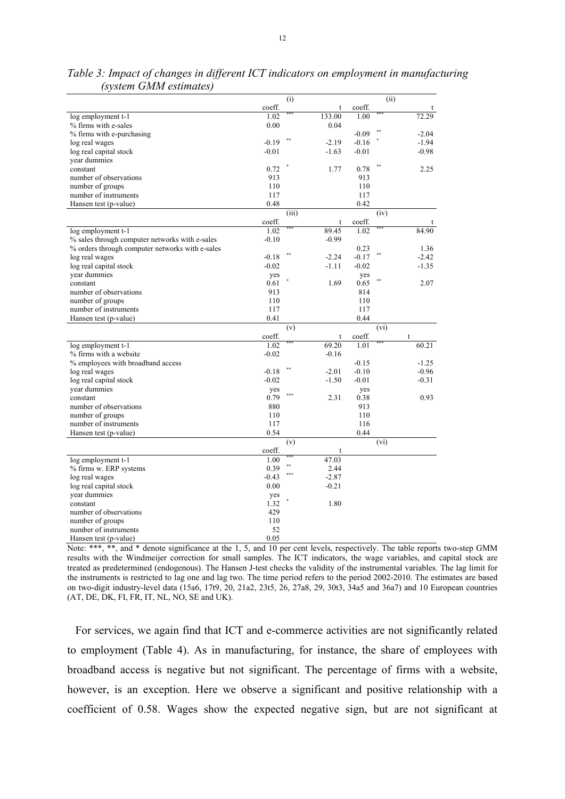|                                                 |         | (i)        |         |         | (i)  |         |
|-------------------------------------------------|---------|------------|---------|---------|------|---------|
|                                                 | coeff.  |            | t       | coeff.  |      |         |
| log employment t-1                              | 1.02    |            | 133.00  | 1.00    |      | 72.29   |
| % firms with e-sales                            | 0.00    |            | 0.04    |         |      |         |
| % firms with e-purchasing                       |         |            |         | $-0.09$ |      | $-2.04$ |
| log real wages                                  | $-0.19$ |            | $-2.19$ | $-0.16$ |      | $-1.94$ |
| log real capital stock                          | $-0.01$ |            | $-1.63$ | $-0.01$ |      | $-0.98$ |
| vear dummies                                    |         |            |         |         |      |         |
| constant                                        | 0.72    |            | 1.77    | 0.78    |      | 2.25    |
| number of observations                          | 913     |            |         | 913     |      |         |
| number of groups                                | 110     |            |         | 110     |      |         |
| number of instruments                           | 117     |            |         | 117     |      |         |
| Hansen test (p-value)                           | 0.48    |            |         | 0.42    |      |         |
|                                                 |         | (iii)      |         |         | (iv) |         |
|                                                 | coeff.  |            | t       | coeff.  |      |         |
| log employment t-1                              | 1.02    |            | 89.45   | 1.02    |      | 84.90   |
| % sales through computer networks with e-sales  | $-0.10$ |            | $-0.99$ |         |      |         |
| % orders through computer networks with e-sales |         |            |         | 0.23    |      | 1.36    |
| log real wages                                  | $-0.18$ |            | $-2.24$ | $-0.17$ |      | $-2.42$ |
| log real capital stock                          | $-0.02$ |            | $-1.11$ | $-0.02$ |      | $-1.35$ |
| year dummies                                    | yes     |            |         | yes     |      |         |
| constant                                        | 0.61    |            | 1.69    | 0.65    |      | 2.07    |
| number of observations                          | 913     |            |         | 814     |      |         |
| number of groups                                | 110     |            |         | 110     |      |         |
| number of instruments                           | 117     |            |         | 117     |      |         |
| Hansen test (p-value)                           | 0.41    |            |         | 0.44    |      |         |
|                                                 |         | (v)        |         |         | (vi) |         |
|                                                 | coeff.  |            | t       | coeff.  |      | t       |
| log employment t-1                              | 1.02    |            | 69.20   | 1.01    |      | 60.21   |
| % firms with a website                          | $-0.02$ |            | $-0.16$ |         |      |         |
| % employees with broadband access               |         |            |         | $-0.15$ |      | $-1.25$ |
| log real wages                                  | $-0.18$ |            | $-2.01$ | $-0.10$ |      | $-0.96$ |
| log real capital stock                          | $-0.02$ |            | $-1.50$ | $-0.01$ |      | $-0.31$ |
| vear dummies                                    | yes     | ***        |         | yes     |      |         |
| constant                                        | 0.79    |            | 2.31    | 0.38    |      | 0.93    |
| number of observations                          | 880     |            |         | 913     |      |         |
| number of groups                                | 110     |            |         | 110     |      |         |
| number of instruments                           | 117     |            |         | 116     |      |         |
| Hansen test (p-value)                           | 0.54    |            |         | 0.44    |      |         |
|                                                 |         | (v)        |         |         | (vi) |         |
|                                                 | coeff.  |            | t       |         |      |         |
| log employment t-1                              | 1.00    | $\ast\ast$ | 47.03   |         |      |         |
| % firms w. ERP systems                          | 0.39    | ***        | 2.44    |         |      |         |
| log real wages                                  | $-0.43$ |            | $-2.87$ |         |      |         |
| log real capital stock                          | 0.00    |            | $-0.21$ |         |      |         |
| year dummies                                    | yes     |            |         |         |      |         |
| constant                                        | 1.32    |            | 1.80    |         |      |         |
| number of observations                          | 429     |            |         |         |      |         |
| number of groups                                | 110     |            |         |         |      |         |
| number of instruments                           | 52      |            |         |         |      |         |
| Hansen test (p-value)                           | 0.05    |            |         |         |      |         |

*Table 3: Impact of changes in different ICT indicators on employment in manufacturing (system GMM estimates)* 

Note: \*\*\*, \*\*, and \* denote significance at the 1, 5, and 10 per cent levels, respectively. The table reports two-step GMM results with the Windmeijer correction for small samples. The ICT indicators, the wage variables, and capital stock are treated as predetermined (endogenous). The Hansen J-test checks the validity of the instrumental variables. The lag limit for the instruments is restricted to lag one and lag two. The time period refers to the period 2002-2010. The estimates are based on two-digit industry-level data (15a6, 17t9, 20, 21a2, 23t5, 26, 27a8, 29, 30t3,  $34a5$  and  $36a7$ ) and 10 European countries (AT, DE, DK, FI, FR, IT, NL, NO, SE and UK).

For services, we again find that ICT and e-commerce activities are not significantly related to employment (Table 4). As in manufacturing, for instance, the share of employees with broadband access is negative but not significant. The percentage of firms with a website, however, is an exception. Here we observe a significant and positive relationship with a coefficient of 0.58. Wages show the expected negative sign, but are not significant at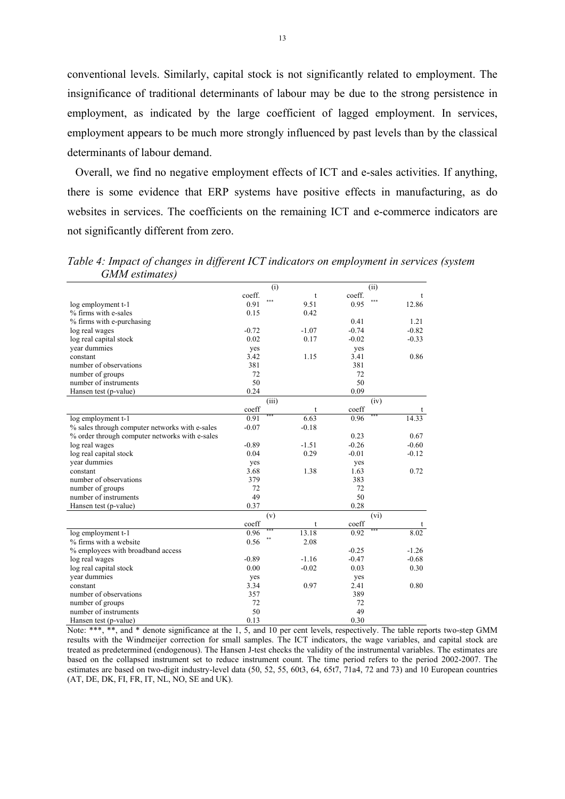conventional levels. Similarly, capital stock is not significantly related to employment. The insignificance of traditional determinants of labour may be due to the strong persistence in employment, as indicated by the large coefficient of lagged employment. In services, employment appears to be much more strongly influenced by past levels than by the classical determinants of labour demand.

Overall, we find no negative employment effects of ICT and e-sales activities. If anything, there is some evidence that ERP systems have positive effects in manufacturing, as do websites in services. The coefficients on the remaining ICT and e-commerce indicators are not significantly different from zero.

| Table 4: Impact of changes in different ICT indicators on employment in services (system |  |  |  |
|------------------------------------------------------------------------------------------|--|--|--|
| GMM estimates)                                                                           |  |  |  |

|                                                |                        | (i)         |                        | (ii)         |
|------------------------------------------------|------------------------|-------------|------------------------|--------------|
|                                                | coeff.                 | t           | coeff.                 | t            |
| log employment t-1                             | 0.91                   | ***<br>9.51 | 0.95                   | ***<br>12.86 |
| % firms with e-sales                           | 0.15                   | 0.42        |                        |              |
| % firms with e-purchasing                      |                        |             | 0.41                   | 1.21         |
| log real wages                                 | $-0.72$                | $-1.07$     | $-0.74$                | $-0.82$      |
| log real capital stock                         | 0.02                   | 0.17        | $-0.02$                | $-0.33$      |
| year dummies                                   | yes                    |             | yes                    |              |
| constant                                       | 3.42                   | 1.15        | 3.41                   | 0.86         |
| number of observations                         | 381                    |             | 381                    |              |
| number of groups                               | 72                     |             | 72                     |              |
| number of instruments                          | 50                     |             | 50                     |              |
| Hansen test (p-value)                          | 0.24                   |             | 0.09                   |              |
|                                                |                        | (iii)       |                        | (iv)         |
|                                                | $\operatorname{coeff}$ | t           | coeff                  |              |
| log employment t-1                             | 0.91                   | 6.63        | 0.96                   | 14.33        |
| % sales through computer networks with e-sales | $-0.07$                | $-0.18$     |                        |              |
| % order through computer networks with e-sales |                        |             | 0.23                   | 0.67         |
| log real wages                                 | $-0.89$                | $-1.51$     | $-0.26$                | $-0.60$      |
| log real capital stock                         | 0.04                   | 0.29        | $-0.01$                | $-0.12$      |
| vear dummies                                   | yes                    |             | yes                    |              |
| constant                                       | 3.68                   | 1.38        | 1.63                   | 0.72         |
| number of observations                         | 379                    |             | 383                    |              |
| number of groups                               | 72                     |             | 72                     |              |
| number of instruments                          | 49                     |             | 50                     |              |
| Hansen test (p-value)                          | 0.37                   |             | 0.28                   |              |
|                                                |                        | (v)         |                        | (vi)         |
|                                                | coeff                  | t           | $\operatorname{coeff}$ | t            |
| log employment t-1                             | 0.96                   | 13.18       | 0.92                   | 8.02         |
| % firms with a website                         | 0.56                   | 2.08        |                        |              |
| % employees with broadband access              |                        |             | $-0.25$                | $-1.26$      |
| log real wages                                 | $-0.89$                | $-1.16$     | $-0.47$                | $-0.68$      |
| log real capital stock                         | 0.00                   | $-0.02$     | 0.03                   | 0.30         |
| year dummies                                   | yes                    |             | yes                    |              |
| constant                                       | 3.34                   | 0.97        | 2.41                   | 0.80         |
| number of observations                         | 357                    |             | 389                    |              |
| number of groups                               | 72                     |             | 72                     |              |
| number of instruments                          | 50                     |             | 49                     |              |
| Hansen test (p-value)                          | 0.13                   |             | 0.30                   |              |

Note: \*\*\*, \*\*, and \* denote significance at the 1, 5, and 10 per cent levels, respectively. The table reports two-step GMM results with the Windmeijer correction for small samples. The ICT indicators, the wage variables, and capital stock are treated as predetermined (endogenous). The Hansen J-test checks the validity of the instrumental variables. The estimates are based on the collapsed instrument set to reduce instrument count. The time period refers to the period 2002-2007. The estimates are based on two-digit industry-level data (50, 52, 55, 60t3, 64, 65t7, 71a4, 72 and 73) and 10 European countries (AT, DE, DK, FI, FR, IT, NL, NO, SE and UK).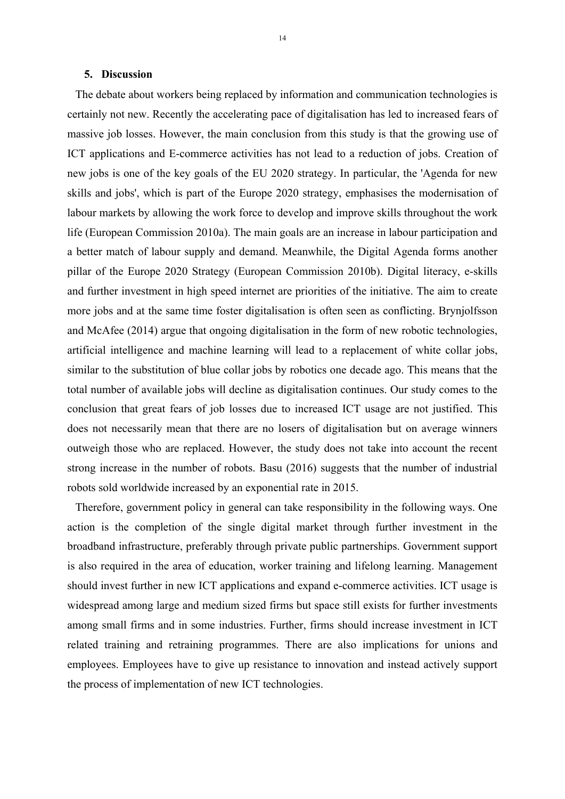### **5. Discussion**

The debate about workers being replaced by information and communication technologies is certainly not new. Recently the accelerating pace of digitalisation has led to increased fears of massive job losses. However, the main conclusion from this study is that the growing use of ICT applications and E-commerce activities has not lead to a reduction of jobs. Creation of new jobs is one of the key goals of the EU 2020 strategy. In particular, the 'Agenda for new skills and jobs', which is part of the Europe 2020 strategy, emphasises the modernisation of labour markets by allowing the work force to develop and improve skills throughout the work life (European Commission 2010a). The main goals are an increase in labour participation and a better match of labour supply and demand. Meanwhile, the Digital Agenda forms another pillar of the Europe 2020 Strategy (European Commission 2010b). Digital literacy, e-skills and further investment in high speed internet are priorities of the initiative. The aim to create more jobs and at the same time foster digitalisation is often seen as conflicting. Brynjolfsson and McAfee (2014) argue that ongoing digitalisation in the form of new robotic technologies, artificial intelligence and machine learning will lead to a replacement of white collar jobs, similar to the substitution of blue collar jobs by robotics one decade ago. This means that the total number of available jobs will decline as digitalisation continues. Our study comes to the conclusion that great fears of job losses due to increased ICT usage are not justified. This does not necessarily mean that there are no losers of digitalisation but on average winners outweigh those who are replaced. However, the study does not take into account the recent strong increase in the number of robots. Basu (2016) suggests that the number of industrial robots sold worldwide increased by an exponential rate in 2015.

Therefore, government policy in general can take responsibility in the following ways. One action is the completion of the single digital market through further investment in the broadband infrastructure, preferably through private public partnerships. Government support is also required in the area of education, worker training and lifelong learning. Management should invest further in new ICT applications and expand e-commerce activities. ICT usage is widespread among large and medium sized firms but space still exists for further investments among small firms and in some industries. Further, firms should increase investment in ICT related training and retraining programmes. There are also implications for unions and employees. Employees have to give up resistance to innovation and instead actively support the process of implementation of new ICT technologies.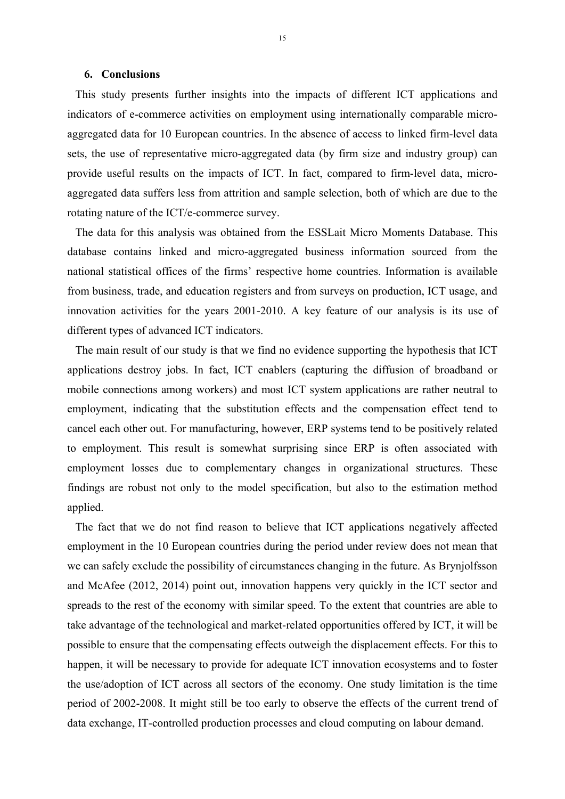#### **6. Conclusions**

This study presents further insights into the impacts of different ICT applications and indicators of e-commerce activities on employment using internationally comparable microaggregated data for 10 European countries. In the absence of access to linked firm-level data sets, the use of representative micro-aggregated data (by firm size and industry group) can provide useful results on the impacts of ICT. In fact, compared to firm-level data, microaggregated data suffers less from attrition and sample selection, both of which are due to the rotating nature of the ICT/e-commerce survey.

The data for this analysis was obtained from the ESSLait Micro Moments Database. This database contains linked and micro-aggregated business information sourced from the national statistical offices of the firms' respective home countries. Information is available from business, trade, and education registers and from surveys on production, ICT usage, and innovation activities for the years 2001-2010. A key feature of our analysis is its use of different types of advanced ICT indicators.

The main result of our study is that we find no evidence supporting the hypothesis that ICT applications destroy jobs. In fact, ICT enablers (capturing the diffusion of broadband or mobile connections among workers) and most ICT system applications are rather neutral to employment, indicating that the substitution effects and the compensation effect tend to cancel each other out. For manufacturing, however, ERP systems tend to be positively related to employment. This result is somewhat surprising since ERP is often associated with employment losses due to complementary changes in organizational structures. These findings are robust not only to the model specification, but also to the estimation method applied.

The fact that we do not find reason to believe that ICT applications negatively affected employment in the 10 European countries during the period under review does not mean that we can safely exclude the possibility of circumstances changing in the future. As Brynjolfsson and McAfee (2012, 2014) point out, innovation happens very quickly in the ICT sector and spreads to the rest of the economy with similar speed. To the extent that countries are able to take advantage of the technological and market-related opportunities offered by ICT, it will be possible to ensure that the compensating effects outweigh the displacement effects. For this to happen, it will be necessary to provide for adequate ICT innovation ecosystems and to foster the use/adoption of ICT across all sectors of the economy. One study limitation is the time period of 2002-2008. It might still be too early to observe the effects of the current trend of data exchange, IT-controlled production processes and cloud computing on labour demand.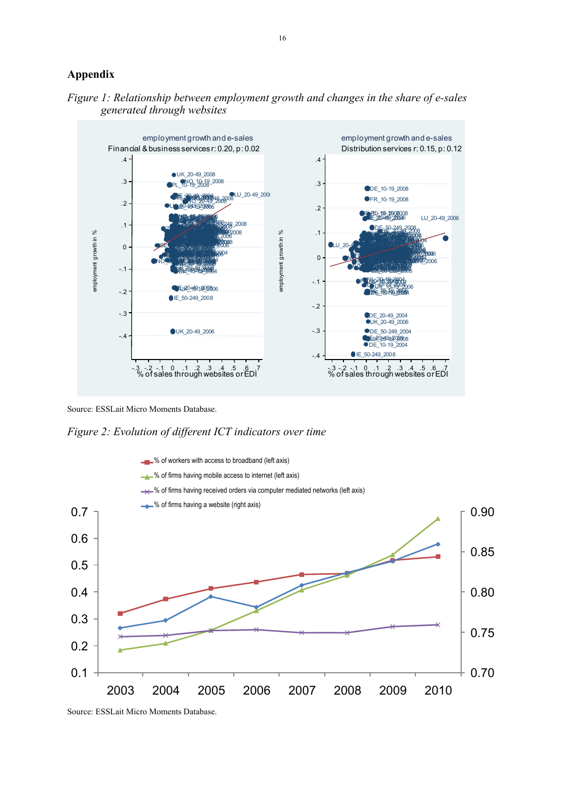## **Appendix**





Source: ESSLait Micro Moments Database.

*Figure 2: Evolution of different ICT indicators over time*



Source: ESSLait Micro Moments Database.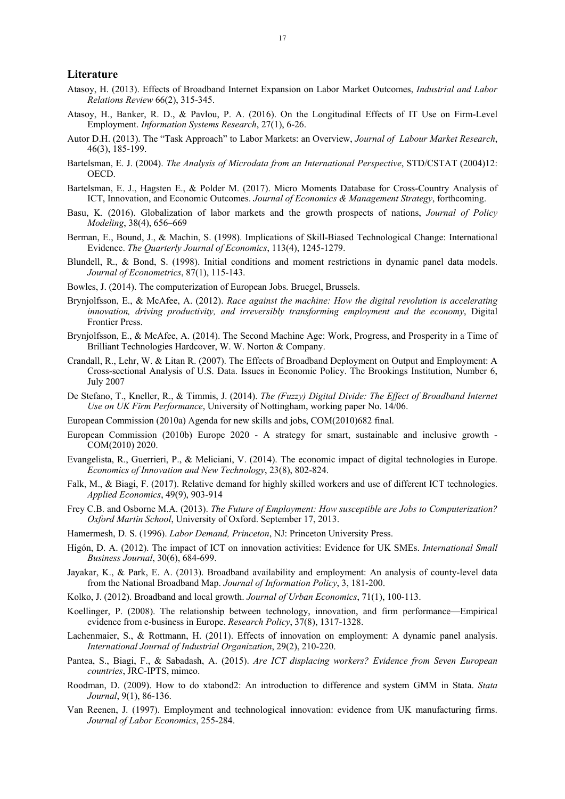#### **Literature**

- Atasoy, H. (2013). Effects of Broadband Internet Expansion on Labor Market Outcomes, *Industrial and Labor Relations Review* 66(2), 315-345.
- Atasoy, H., Banker, R. D., & Pavlou, P. A. (2016). On the Longitudinal Effects of IT Use on Firm-Level Employment. *Information Systems Research*, 27(1), 6-26.
- Autor D.H. (2013). The "Task Approach" to Labor Markets: an Overview, *Journal of Labour Market Research*, 46(3), 185-199.
- Bartelsman, E. J. (2004). *The Analysis of Microdata from an International Perspective*, STD/CSTAT (2004)12: OECD.
- Bartelsman, E. J., Hagsten E., & Polder M. (2017). Micro Moments Database for Cross-Country Analysis of ICT, Innovation, and Economic Outcomes. *Journal of Economics & Management Strategy*, forthcoming.
- Basu, K. (2016). Globalization of labor markets and the growth prospects of nations, *Journal of Policy Modeling*, 38(4), 656–669
- Berman, E., Bound, J., & Machin, S. (1998). Implications of Skill-Biased Technological Change: International Evidence. *The Quarterly Journal of Economics*, 113(4), 1245-1279.
- Blundell, R., & Bond, S. (1998). Initial conditions and moment restrictions in dynamic panel data models. *Journal of Econometrics*, 87(1), 115-143.
- Bowles, J. (2014). The computerization of European Jobs. Bruegel, Brussels.
- Brynjolfsson, E., & McAfee, A. (2012). *Race against the machine: How the digital revolution is accelerating innovation, driving productivity, and irreversibly transforming employment and the economy*, Digital Frontier Press.
- Brynjolfsson, E., & McAfee, A. (2014). The Second Machine Age: Work, Progress, and Prosperity in a Time of Brilliant Technologies Hardcover, W. W. Norton & Company.
- Crandall, R., Lehr, W. & Litan R. (2007). The Effects of Broadband Deployment on Output and Employment: A Cross-sectional Analysis of U.S. Data. Issues in Economic Policy. The Brookings Institution, Number 6, July 2007
- De Stefano, T., Kneller, R., & Timmis, J. (2014). *The (Fuzzy) Digital Divide: The Effect of Broadband Internet Use on UK Firm Performance*, University of Nottingham, working paper No. 14/06.
- European Commission (2010a) Agenda for new skills and jobs, COM(2010)682 final.
- European Commission (2010b) Europe 2020 A strategy for smart, sustainable and inclusive growth COM(2010) 2020.
- Evangelista, R., Guerrieri, P., & Meliciani, V. (2014). The economic impact of digital technologies in Europe. *Economics of Innovation and New Technology*, 23(8), 802-824.
- Falk, M., & Biagi, F. (2017). Relative demand for highly skilled workers and use of different ICT technologies. *Applied Economics*, 49(9), 903-914
- Frey C.B. and Osborne M.A. (2013). *The Future of Employment: How susceptible are Jobs to Computerization? Oxford Martin School*, University of Oxford. September 17, 2013.
- Hamermesh, D. S. (1996). *Labor Demand, Princeton*, NJ: Princeton University Press.
- Higón, D. A. (2012). The impact of ICT on innovation activities: Evidence for UK SMEs. *International Small Business Journal*, 30(6), 684-699.
- Jayakar, K., & Park, E. A. (2013). Broadband availability and employment: An analysis of county-level data from the National Broadband Map. *Journal of Information Policy*, 3, 181-200.
- Kolko, J. (2012). Broadband and local growth. *Journal of Urban Economics*, 71(1), 100-113.
- Koellinger, P. (2008). The relationship between technology, innovation, and firm performance—Empirical evidence from e-business in Europe. *Research Policy*, 37(8), 1317-1328.
- Lachenmaier, S., & Rottmann, H. (2011). Effects of innovation on employment: A dynamic panel analysis. *International Journal of Industrial Organization*, 29(2), 210-220.
- Pantea, S., Biagi, F., & Sabadash, A. (2015). *Are ICT displacing workers? Evidence from Seven European countries*, JRC-IPTS, mimeo.
- Roodman, D. (2009). How to do xtabond2: An introduction to difference and system GMM in Stata. *Stata Journal*, 9(1), 86-136.
- Van Reenen, J. (1997). Employment and technological innovation: evidence from UK manufacturing firms. *Journal of Labor Economics*, 255-284.